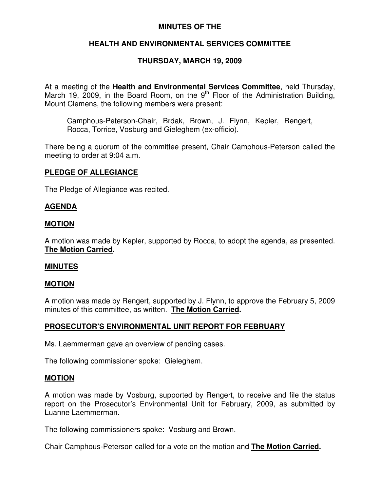## **MINUTES OF THE**

# **HEALTH AND ENVIRONMENTAL SERVICES COMMITTEE**

# **THURSDAY, MARCH 19, 2009**

At a meeting of the **Health and Environmental Services Committee**, held Thursday, March 19, 2009, in the Board Room, on the  $9<sup>th</sup>$  Floor of the Administration Building, Mount Clemens, the following members were present:

Camphous-Peterson-Chair, Brdak, Brown, J. Flynn, Kepler, Rengert, Rocca, Torrice, Vosburg and Gieleghem (ex-officio).

There being a quorum of the committee present, Chair Camphous-Peterson called the meeting to order at 9:04 a.m.

#### **PLEDGE OF ALLEGIANCE**

The Pledge of Allegiance was recited.

### **AGENDA**

#### **MOTION**

A motion was made by Kepler, supported by Rocca, to adopt the agenda, as presented. **The Motion Carried.**

#### **MINUTES**

#### **MOTION**

A motion was made by Rengert, supported by J. Flynn, to approve the February 5, 2009 minutes of this committee, as written. **The Motion Carried.**

### **PROSECUTOR'S ENVIRONMENTAL UNIT REPORT FOR FEBRUARY**

Ms. Laemmerman gave an overview of pending cases.

The following commissioner spoke: Gieleghem.

#### **MOTION**

A motion was made by Vosburg, supported by Rengert, to receive and file the status report on the Prosecutor's Environmental Unit for February, 2009, as submitted by Luanne Laemmerman.

The following commissioners spoke: Vosburg and Brown.

Chair Camphous-Peterson called for a vote on the motion and **The Motion Carried.**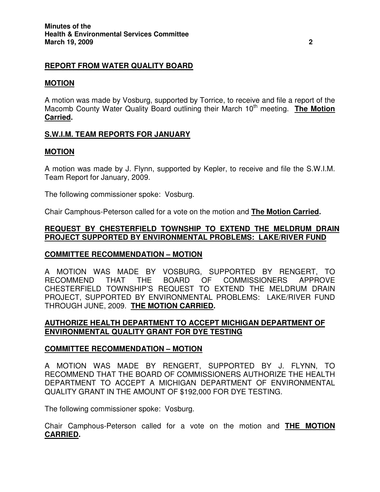# **REPORT FROM WATER QUALITY BOARD**

## **MOTION**

A motion was made by Vosburg, supported by Torrice, to receive and file a report of the Macomb County Water Quality Board outlining their March 10<sup>th</sup> meeting. The Motion **Carried.**

# **S.W.I.M. TEAM REPORTS FOR JANUARY**

### **MOTION**

A motion was made by J. Flynn, supported by Kepler, to receive and file the S.W.I.M. Team Report for January, 2009.

The following commissioner spoke: Vosburg.

Chair Camphous-Peterson called for a vote on the motion and **The Motion Carried.**

## **REQUEST BY CHESTERFIELD TOWNSHIP TO EXTEND THE MELDRUM DRAIN PROJECT SUPPORTED BY ENVIRONMENTAL PROBLEMS: LAKE/RIVER FUND**

### **COMMITTEE RECOMMENDATION – MOTION**

A MOTION WAS MADE BY VOSBURG, SUPPORTED BY RENGERT, TO RECOMMEND THAT THE BOARD OF COMMISSIONERS APPROVE CHESTERFIELD TOWNSHIP'S REQUEST TO EXTEND THE MELDRUM DRAIN PROJECT, SUPPORTED BY ENVIRONMENTAL PROBLEMS: LAKE/RIVER FUND THROUGH JUNE, 2009. **THE MOTION CARRIED.**

### **AUTHORIZE HEALTH DEPARTMENT TO ACCEPT MICHIGAN DEPARTMENT OF ENVIRONMENTAL QUALITY GRANT FOR DYE TESTING**

### **COMMITTEE RECOMMENDATION – MOTION**

A MOTION WAS MADE BY RENGERT, SUPPORTED BY J. FLYNN, TO RECOMMEND THAT THE BOARD OF COMMISSIONERS AUTHORIZE THE HEALTH DEPARTMENT TO ACCEPT A MICHIGAN DEPARTMENT OF ENVIRONMENTAL QUALITY GRANT IN THE AMOUNT OF \$192,000 FOR DYE TESTING.

The following commissioner spoke: Vosburg.

Chair Camphous-Peterson called for a vote on the motion and **THE MOTION CARRIED.**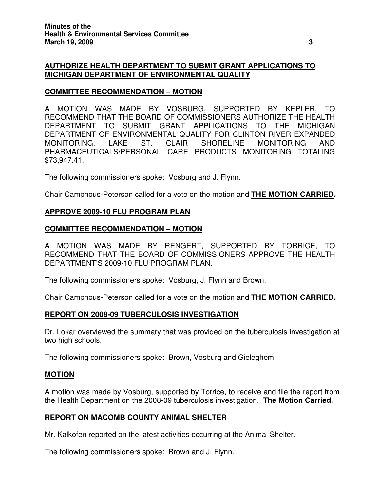# **AUTHORIZE HEALTH DEPARTMENT TO SUBMIT GRANT APPLICATIONS TO MICHIGAN DEPARTMENT OF ENVIRONMENTAL QUALITY**

# **COMMITTEE RECOMMENDATION – MOTION**

A MOTION WAS MADE BY VOSBURG, SUPPORTED BY KEPLER, TO RECOMMEND THAT THE BOARD OF COMMISSIONERS AUTHORIZE THE HEALTH DEPARTMENT TO SUBMIT GRANT APPLICATIONS TO THE MICHIGAN DEPARTMENT OF ENVIRONMENTAL QUALITY FOR CLINTON RIVER EXPANDED MONITORING, LAKE ST. CLAIR SHORELINE MONITORING AND PHARMACEUTICALS/PERSONAL CARE PRODUCTS MONITORING TOTALING \$73,947.41.

The following commissioners spoke: Vosburg and J. Flynn.

Chair Camphous-Peterson called for a vote on the motion and **THE MOTION CARRIED.**

### **APPROVE 2009-10 FLU PROGRAM PLAN**

#### **COMMITTEE RECOMMENDATION – MOTION**

A MOTION WAS MADE BY RENGERT, SUPPORTED BY TORRICE, TO RECOMMEND THAT THE BOARD OF COMMISSIONERS APPROVE THE HEALTH DEPARTMENT'S 2009-10 FLU PROGRAM PLAN.

The following commissioners spoke: Vosburg, J. Flynn and Brown.

Chair Camphous-Peterson called for a vote on the motion and **THE MOTION CARRIED.**

### **REPORT ON 2008-09 TUBERCULOSIS INVESTIGATION**

Dr. Lokar overviewed the summary that was provided on the tuberculosis investigation at two high schools.

The following commissioners spoke: Brown, Vosburg and Gieleghem.

### **MOTION**

A motion was made by Vosburg, supported by Torrice, to receive and file the report from the Health Department on the 2008-09 tuberculosis investigation. **The Motion Carried.**

### **REPORT ON MACOMB COUNTY ANIMAL SHELTER**

Mr. Kalkofen reported on the latest activities occurring at the Animal Shelter.

The following commissioners spoke: Brown and J. Flynn.